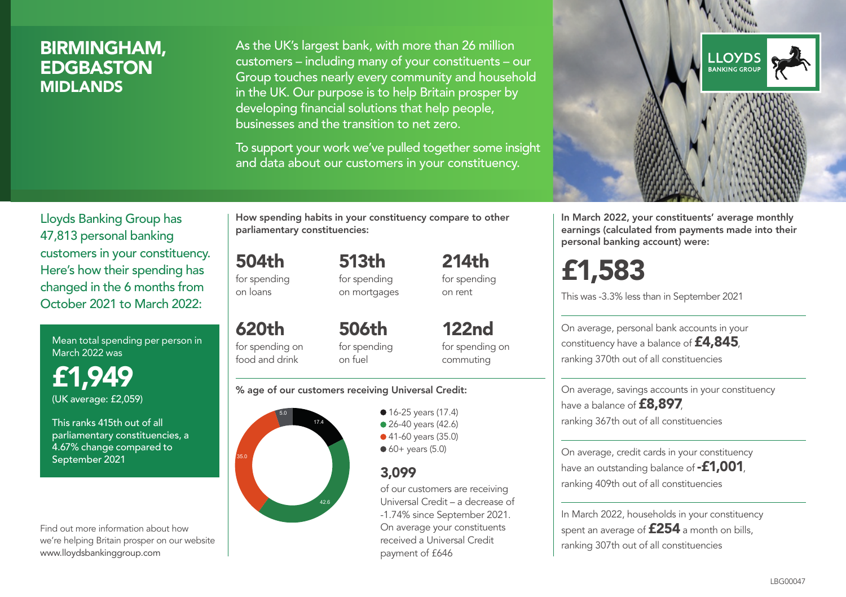### BIRMINGHAM, **EDGBASTON** MIDLANDS

As the UK's largest bank, with more than 26 million customers – including many of your constituents – our Group touches nearly every community and household in the UK. Our purpose is to help Britain prosper by developing financial solutions that help people, businesses and the transition to net zero.

To support your work we've pulled together some insight and data about our customers in your constituency.



Mean total spending per person in March 2022 was

£1,949 (UK average: £2,059)

This ranks 415th out of all parliamentary constituencies, a 4.67% change compared to September 2021

Find out more information about how we're helping Britain prosper on our website www.lloydsbankinggroup.com

How spending habits in your constituency compare to other parliamentary constituencies:

504th for spending 513th

on loans

620th

for spending on mortgages 214th for spending on rent

for spending on food and drink 506th for spending on fuel

122nd for spending on commuting

#### % age of our customers receiving Universal Credit:



• 16-25 years (17.4) • 26-40 years (42.6) ● 41-60 years (35.0)  $60+$  years (5.0)

### 3,099

of our customers are receiving Universal Credit – a decrease of -1.74% since September 2021. On average your constituents received a Universal Credit payment of £646



In March 2022, your constituents' average monthly earnings (calculated from payments made into their personal banking account) were:

# £1,583

This was -3.3% less than in September 2021

On average, personal bank accounts in your constituency have a balance of £4,845, ranking 370th out of all constituencies

On average, savings accounts in your constituency have a balance of **£8,897**, ranking 367th out of all constituencies

On average, credit cards in your constituency have an outstanding balance of **-£1,001**, ranking 409th out of all constituencies

In March 2022, households in your constituency spent an average of £254 a month on bills, ranking 307th out of all constituencies